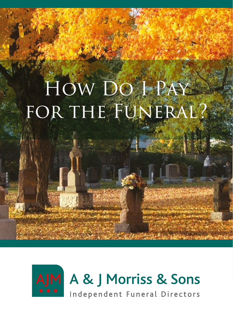# How Do I Pay FOR THE FUNERAL?

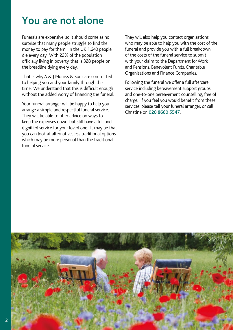### You are not alone

Funerals are expensive, so it should come as no surprise that many people struggle to find the money to pay for them. In the UK 1,640 people die every day. With 22% of the population officially living in poverty, that is 328 people on the breadline dying every day.

That is why A & J Morriss & Sons are committed to helping you and your family through this time. We understand that this is difficult enough without the added worry of financing the funeral.

Your funeral arranger will be happy to help you arrange a simple and respectful funeral service. They will be able to offer advice on ways to keep the expenses down, but still have a full and dignified service for your loved one. It may be that you can look at alternative, less traditional options which may be more personal than the traditional funeral service.

They will also help you contact organisations who may be able to help you with the cost of the funeral and provide you with a full breakdown of the costs of the funeral service to submit with your claim to the Department for Work and Pensions, Benevolent Funds, Charitable Organisations and Finance Companies.

Following the funeral we offer a full aftercare service including bereavement support groups and one-to-one bereavement counselling, free of charge. If you feel you would benefit from these services, please tell your funeral arranger, or call Christine on 020 8660 5547.

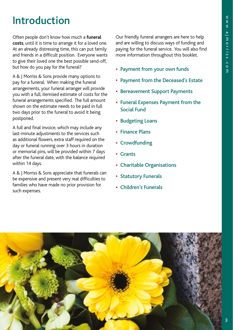# Introduction

Often people don't know how much a **funeral costs**, until it is time to arrange it for a loved one. At an already distressing time, this can put family and friends in a difficult position. Everyone wants to give their loved one the best possible send-off, but how do you pay for the funeral?

A & J Morriss & Sons provide many options to pay for a funeral. When making the funeral arrangements, your funeral arranger will provide you with a full, itemised estimate of costs for the funeral arrangements specified. The full amount shown on the estimate needs to be paid in full two days prior to the funeral to avoid it being postponed.

A full and final invoice, which may include any last-minute adjustments to the services such as additional flowers, extra staff required on the day or funeral running over 3 hours in duration or memorial pins, will be provided within 7 days after the funeral date, with the balance required within 14 days.

A & J Morriss & Sons appreciate that funerals can be expensive and present very real difficulties to families who have made no prior provision for such expenses.

Our friendly funeral arrangers are here to help and are willing to discuss ways of funding and paying for the funeral service. You will also find more information throughout this booklet.

- Payment from your own funds
- Payment from the Deceased's Estate
- Bereavement Support Payments
- Funeral Expenses Payment from the Social Fund
- Budgeting Loans
- Finance Plans
- Crowdfunding
- Grants
- Charitable Organisations
- Statutory Funerals
- Children's Funerals

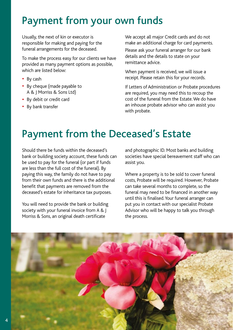### Payment from your own funds

Usually, the next of kin or executor is responsible for making and paying for the funeral arrangements for the deceased.

To make the process easy for our clients we have provided as many payment options as possible, which are listed below:

- By cash
- By cheque (made payable to A & J Morriss & Sons Ltd)
- By debit or credit card
- By bank transfer

We accept all major Credit cards and do not make an additional charge for card payments.

Please ask your funeral arranger for our bank details and the details to state on your remittance advice.

When payment is received, we will issue a receipt. Please retain this for your records.

If Letters of Administration or Probate procedures are required, you may need this to recoup the cost of the funeral from the Estate. We do have an inhouse probate advisor who can assist you with probate.

# Payment from the Deceased's Estate

Should there be funds within the deceased's bank or building society account, these funds can be used to pay for the funeral (or part if funds are less than the full cost of the funeral). By paying this way, the family do not have to pay from their own funds and there is the additional benefit that payments are removed from the deceased's estate for inheritance tax purposes.

You will need to provide the bank or building society with your funeral invoice from A & | Morriss & Sons, an original death certificate

and photographic ID. Most banks and building societies have special bereavement staff who can assist you.

Where a property is to be sold to cover funeral costs, Probate will be required. However, Probate can take several months to complete, so the funeral may need to be financed in another way until this is finalised. Your funeral arranger can put you in contact with our specialist Probate Advisor who will be happy to talk you through the process.

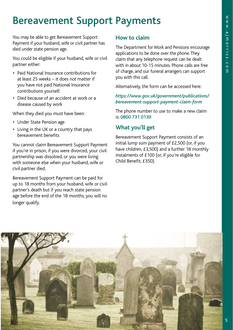# Bereavement Support Payments

You may be able to get Bereavement Support Payment if your husband, wife or civil partner has died under state pension age.

You could be eligible if your husband, wife or civil partner either:

- Paid National Insurance contributions for at least 25 weeks – it does not matter if you have not paid National Insurance contributions yourself.
- Died because of an accident at work or a disease caused by work

When they died you must have been:

- Under State Pension age
- Living in the UK or a country that pays bereavement benefits

You cannot claim Bereavement Support Payment if you're in prison, if you were divorced, your civil partnership was dissolved, or you were living with someone else when your husband, wife or civil partner died.

Bereavement Support Payment can be paid for up to 18 months from your husband, wife or civil partner's death but if you reach state pension age before the end of the 18 months, you will no longer qualify.

#### **How to claim**

The Department for Work and Pensions encourage applications to be done over the phone. They claim that any telephone request can be dealt with in about 10-15 minutes. Phone calls are free of charge, and our funeral arrangers can support you with this call.

Alternatively, the form can be accessed here:

#### *https://www.gov.uk/government/publications/ bereavement-support-payment-claim-form*

The phone number to use to make a new claim is: 0800 731 0139

#### **What you'll get**

Bereavement Support Payment consists of an initial lump sum payment of £2,500 (or, if you have children, £3,500) and a further 18 monthly instalments of £100 (or, if you're eligible for Child Benefit, £350).

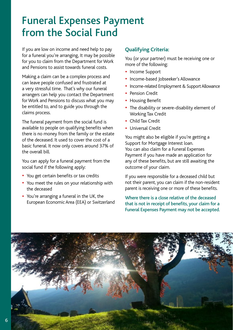### Funeral Expenses Payment from the Social Fund

If you are low on income and need help to pay for a funeral you're arranging, It may be possible for you to claim from the Department for Work and Pensions to assist towards funeral costs.

Making a claim can be a complex process and can leave people confused and frustrated at a very stressful time. That's why our funeral arrangers can help you contact the Department for Work and Pensions to discuss what you may be entitled to, and to guide you through the claims process.

The funeral payment from the social fund is available to people on qualifying benefits when there is no money from the family or the estate of the deceased. It used to cover the cost of a basic funeral. It now only covers around 37% of the overall bill.

You can apply for a funeral payment from the social fund if the following apply:

- You get certain benefits or tax credits
- You meet the rules on your relationship with the deceased
- You're arranging a funeral in the UK, the European Economic Area (EEA) or Switzerland

#### **Qualifying Criteria:**

You (or your partner) must be receiving one or more of the following:

- Income Support
- Income-based Jobseeker's Allowance
- Income-related Employment & Support Allowance
- Pension Credit
- Housing Benefit
- The disability or severe-disability element of Working Tax Credit
- Child Tax Credit
- Universal Credit

You might also be eligible if you're getting a Support for Mortgage Interest loan. You can also claim for a Funeral Expenses Payment if you have made an application for any of these benefits, but are still awaiting the outcome of your claim.

If you were responsible for a deceased child but not their parent, you can claim if the non-resident parent is receiving one or more of these benefits.

Where there is a close relative of the deceased that is not in receipt of benefits, your claim for a Funeral Expenses Payment may not be accepted.

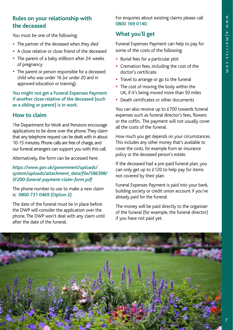#### **Rules on your relationship with the deceased**

You must be one of the following:

- The partner of the deceased when they died
- A close relative or close friend of the deceased
- The parent of a baby stillborn after 24 weeks of pregnancy
- The parent or person responsible for a deceased child who was under 16 (or under 20 and in approved education or training).

You might not get a Funeral Expenses Payment if another close relative of the deceased (such as a sibling or parent) is in work.

#### **How to claim**

The Department for Work and Pensions encourage applications to be done over the phone. They claim that any telephone request can be dealt with in about 10-15 minutes. Phone calls are free of charge, and our funeral arrangers can support you with this call.

Alternatively, the form can be accessed here:

#### *https://www.gov.uk/government/uploads/ system/uploads/attachment\_data/file/586398/ SF200-funeral-payment-claim-form.pdf*

The phone number to use to make a new claim is: 0800 731 0469 (Option 2)

The date of the funeral must be in place before the DWP will consider the application over the phone. The DWP won't deal with any claim until after the date of the funeral.

For enquiries about existing claims please call 0800 169 0140.

#### **What you'll get**

Funeral Expenses Payment can help to pay for some of the costs of the following:

- Burial fees for a particular plot
- Cremation fees, including the cost of the doctor's certificate
- Travel to arrange or go to the funeral
- The cost of moving the body within the UK, if it's being moved more than 50 miles
- Death certificates or other documents

You can also receive up to £700 towards funeral expenses such as funeral director's fees, flowers or the coffin. The payment will not usually cover all the costs of the funeral.

How much you get depends on your circumstances. This includes any other money that's available to cover the costs, for example from an insurance policy or the deceased person's estate.

If the deceased had a pre-paid funeral plan, you can only get up to £120 to help pay for items not covered by their plan.

Funeral Expenses Payment is paid into your bank, building society or credit union account if you've already paid for the funeral.

The money will be paid directly to the organiser of the funeral (for example, the funeral director) if you have not paid yet.

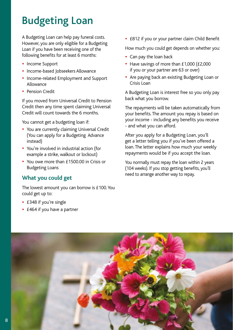# Budgeting Loan

A Budgeting Loan can help pay funeral costs. However, you are only eligible for a Budgeting Loan if you have been receiving one of the following benefits for at least 6 months:

- Income Support
- Income-based Jobseekers Allowance
- Income-related Employment and Support Allowance
- Pension Credit

If you moved from Universal Credit to Pension Credit then any time spent claiming Universal Credit will count towards the 6 months.

You cannot get a budgeting loan if:

- You are currently claiming Universal Credit (You can apply for a Budgeting Advance instead)
- You're involved in industrial action (for example a strike, walkout or lockout)
- You owe more than £1500.00 in Crisis or Budgeting Loans

#### **What you could get**

The lowest amount you can borrow is £100. You could get up to:

- £348 if you're single
- £464 if you have a partner

• £812 if you or your partner claim Child Benefit

How much you could get depends on whether you:

- Can pay the loan back
- Have savings of more than £1,000 (£2,000 if you or your partner are 63 or over)
- Are paying back an existing Budgeting Loan or Crisis Loan

A Budgeting Loan is interest free so you only pay back what you borrow.

The repayments will be taken automatically from your benefits. The amount you repay is based on your income - including any benefits you receive - and what you can afford.

After you apply for a Budgeting Loan, you'll get a letter telling you if you've been offered a loan. The letter explains how much your weekly repayments would be if you accept the loan.

You normally must repay the loan within 2 years (104 weeks). If you stop getting benefits, you'll need to arrange another way to repay.

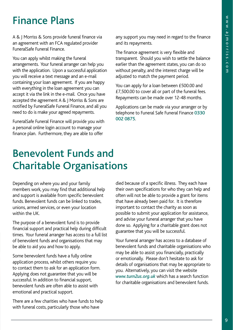### Finance Plans

A & J Morriss & Sons provide funeral finance via an agreement with an FCA regulated provider FuneralSafe Funeral Finance.

You can apply whilst making the funeral arrangements. Your funeral arranger can help you with the application. Upon a successful application you will receive a text message and an e-mail containing your loan agreement. If you are happy with everything in the loan agreement you can accept it via the link in the e-mail. Once you have accepted the agreement A & J Morriss & Sons are notified by FuneralSafe Funeral Finance, and all you need to do is make your agreed repayments.

FuneralSafe Funeral Finance will provide you with a personal online login account to manage your finance plan. Furthermore, they are able to offer

any support you may need in regard to the finance and its repayments.

The finance agreement is very flexible and transparent. Should you wish to settle the balance earlier than the agreement states, you can do so without penalty, and the interest charge will be adjusted to match the payment period.

You can apply for a loan between £500.00 and £7,500.00 to cover all or part of the funeral fees. Repayments can be made over 12-48 months.

Applications can be made via your arranger or by telephone to Funeral Safe Funeral Finance 0330 002 0875.

### Benevolent Funds and Charitable Organisations

Depending on where you and your family members work, you may find that additional help and support is available from specific benevolent funds. Benevolent funds can be linked to trades, unions, armed services, or even your location within the UK.

The purpose of a benevolent fund is to provide financial support and practical help during difficult times. Your funeral arranger has access to a full list of benevolent funds and organisations that may be able to aid you and how to apply.

Some benevolent funds have a fully online application process, whilst others require you to contact them to ask for an application form. Applying does not guarantee that you will be successful. In addition to financial support, benevolent funds are often able to assist with emotional and practical support.

There are a few charities who have funds to help with funeral costs, particularly those who have

died because of a specific illness. They each have their own specifications for who they can help and often will not be able to provide a grant for items that have already been paid for. It is therefore important to contact the charity as soon as possible to submit your application for assistance, and advise your funeral arranger that you have done so. Applying for a charitable grant does not guarantee that you will be successful.

Your funeral arranger has access to a database of benevolent funds and charitable organisations who may be able to assist you financially, practically or emotionally. Please don't hesitate to ask for details of organisations that may be appropriate to you. Alternatively, you can visit the website *www.turn2us.org.uk* which has a search function for charitable organisations and benevolent funds.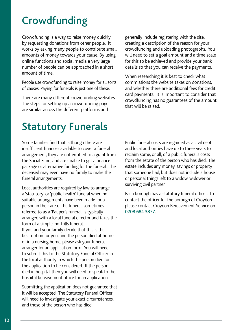# **Crowdfunding**

Crowdfunding is a way to raise money quickly by requesting donations from other people. It works by asking many people to contribute small amounts of money towards your cause. By using online functions and social media a very large number of people can be approached in a short amount of time.

People use crowdfunding to raise money for all sorts of causes. Paying for funerals is just one of these.

There are many different crowdfunding websites. The steps for setting up a crowdfunding page are similar across the different platforms and

generally include registering with the site, creating a description of the reason for your crowdfunding and uploading photographs. You will need to set a goal amount and a time scale for this to be achieved and provide your bank details so that you can receive the payments.

When researching it is best to check what commissions the website takes on donations, and whether there are additional fees for credit card payments. It is important to consider that crowdfunding has no guarantees of the amount that will be raised.

# Statutory Funerals

Some families find that, although there are insufficient finances available to cover a funeral arrangement, they are not entitled to a grant from the Social Fund, and are unable to get a finance package or alternative funding for the funeral. The deceased may even have no family to make the funeral arrangements.

Local authorities are required by law to arrange a 'statutory' or 'public health' funeral when no suitable arrangements have been made for a person in their area. The funeral, sometimes referred to as a 'Pauper's funeral' is typically arranged with a local funeral director and takes the form of a simple, no-frills funeral. If you and your family decide that this is the best option for you, and the person died at home or in a nursing home, please ask your funeral arranger for an application form. You will need to submit this to the Statutory Funeral Officer in the local authority in which the person died for the application to be considered. If the person died in hospital then you will need to speak to the hospital bereavement office for an application.

Submitting the application does not guarantee that it will be accepted. The Statutory Funeral Officer will need to investigate your exact circumstances, and those of the person who has died.

Public funeral costs are regarded as a civil debt and local authorities have up to three years to reclaim some, or all, of a public funeral's costs from the estate of the person who has died. The estate includes any money, savings or property that someone had, but does not include a house or personal things left to a widow, widower or surviving civil partner.

Each borough has a statutory funeral officer. To contact the officer for the borough of Croydon please contact Croydon Bereavement Service on 0208 684 3877.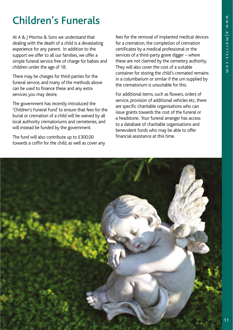# Children's Funerals

At A & J Morriss & Sons we understand that dealing with the death of a child is a devastating experience for any parent. In addition to the support we offer to all our families, we offer a simple funeral service free of charge for babies and children under the age of 18.

There may be charges for third-parties for the funeral service, and many of the methods above can be used to finance these and any extra services you may desire.

The government has recently introduced the 'Children's Funeral Fund' to ensure that fees for the burial or cremation of a child will be waived by all local authority crematoriums and cemeteries, and will instead be funded by the government.

The fund will also contribute up to £300.00 towards a coffin for the child, as well as cover any fees for the removal of implanted medical devices for a cremation, the completion of cremation certificates by a medical professional or the services of a third-party grave digger – where these are not claimed by the cemetery authority. They will also cover the cost of a suitable container for storing the child's cremated remains in a columbarium or similar if the urn supplied by the crematorium is unsuitable for this.

For additional items, such as flowers, orders of service, provision of additional vehicles etc, there are specific charitable organisations who can issue grants towards the cost of the funeral or a headstone. Your funeral arranger has access to a database of charitable organisations and benevolent funds who may be able to offer financial assistance at this time.